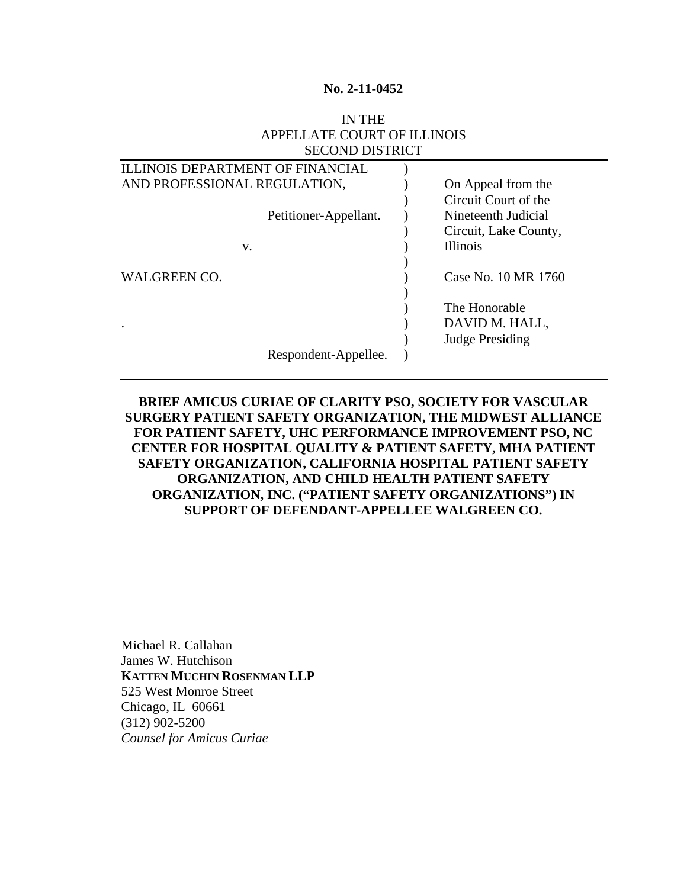#### **No. 2-11-0452**

### IN THE APPELLATE COURT OF ILLINOIS SECOND DISTRICT

| <b>ILLINOIS DEPARTMENT OF FINANCIAL</b> |  |                       |
|-----------------------------------------|--|-----------------------|
| AND PROFESSIONAL REGULATION,            |  | On Appeal from the    |
|                                         |  | Circuit Court of the  |
| Petitioner-Appellant.                   |  | Nineteenth Judicial   |
|                                         |  | Circuit, Lake County, |
| V.                                      |  | <b>Illinois</b>       |
|                                         |  |                       |
| <b>WALGREEN CO.</b>                     |  | Case No. 10 MR 1760   |
|                                         |  |                       |
|                                         |  | The Honorable         |
| ٠                                       |  | DAVID M. HALL,        |
|                                         |  | Judge Presiding       |
| Respondent-Appellee.                    |  |                       |
|                                         |  |                       |

# **BRIEF AMICUS CURIAE OF CLARITY PSO, SOCIETY FOR VASCULAR SURGERY PATIENT SAFETY ORGANIZATION, THE MIDWEST ALLIANCE FOR PATIENT SAFETY, UHC PERFORMANCE IMPROVEMENT PSO, NC CENTER FOR HOSPITAL QUALITY & PATIENT SAFETY, MHA PATIENT SAFETY ORGANIZATION, CALIFORNIA HOSPITAL PATIENT SAFETY ORGANIZATION, AND CHILD HEALTH PATIENT SAFETY ORGANIZATION, INC. ("PATIENT SAFETY ORGANIZATIONS") IN SUPPORT OF DEFENDANT-APPELLEE WALGREEN CO.**

Michael R. Callahan James W. Hutchison **KATTEN MUCHIN ROSENMAN LLP**  525 West Monroe Street Chicago, IL 60661 (312) 902-5200 *Counsel for Amicus Curiae*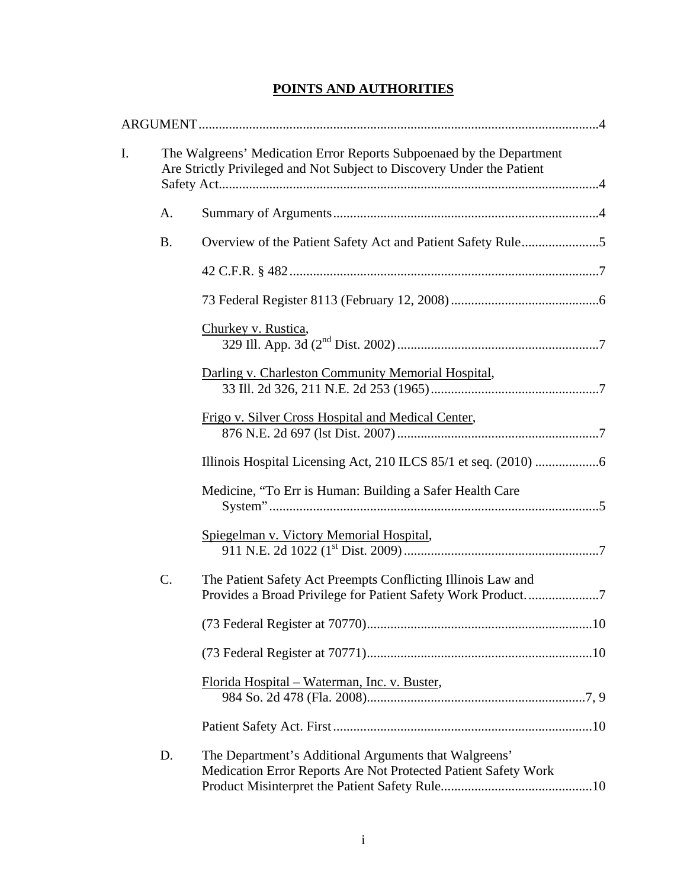# **POINTS AND AUTHORITIES**

| I. |           | The Walgreens' Medication Error Reports Subpoenaed by the Department<br>Are Strictly Privileged and Not Subject to Discovery Under the Patient |  |  |
|----|-----------|------------------------------------------------------------------------------------------------------------------------------------------------|--|--|
|    | A.        |                                                                                                                                                |  |  |
|    | <b>B.</b> |                                                                                                                                                |  |  |
|    |           |                                                                                                                                                |  |  |
|    |           |                                                                                                                                                |  |  |
|    |           | Churkey v. Rustica,                                                                                                                            |  |  |
|    |           | Darling v. Charleston Community Memorial Hospital,                                                                                             |  |  |
|    |           | Frigo v. Silver Cross Hospital and Medical Center,                                                                                             |  |  |
|    |           |                                                                                                                                                |  |  |
|    |           | Medicine, "To Err is Human: Building a Safer Health Care                                                                                       |  |  |
|    |           | Spiegelman v. Victory Memorial Hospital,                                                                                                       |  |  |
|    | C.        | The Patient Safety Act Preempts Conflicting Illinois Law and                                                                                   |  |  |
|    |           |                                                                                                                                                |  |  |
|    |           |                                                                                                                                                |  |  |
|    |           | Florida Hospital - Waterman, Inc. v. Buster,                                                                                                   |  |  |
|    |           |                                                                                                                                                |  |  |
|    | D.        | The Department's Additional Arguments that Walgreens'<br>Medication Error Reports Are Not Protected Patient Safety Work                        |  |  |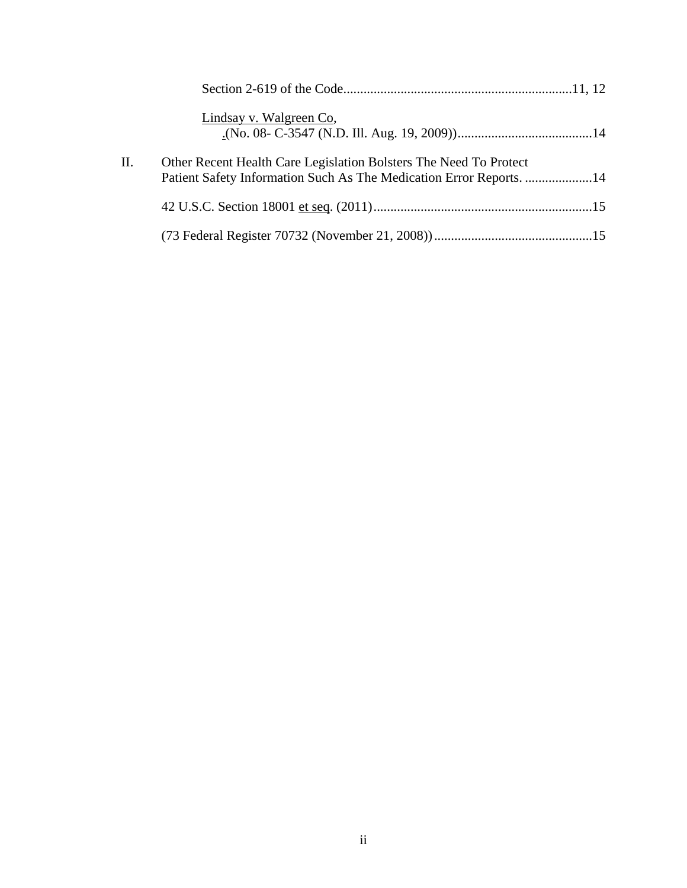|     | Lindsay v. Walgreen Co.                                                                                                                  |  |
|-----|------------------------------------------------------------------------------------------------------------------------------------------|--|
| II. | Other Recent Health Care Legislation Bolsters The Need To Protect<br>Patient Safety Information Such As The Medication Error Reports. 14 |  |
|     |                                                                                                                                          |  |
|     |                                                                                                                                          |  |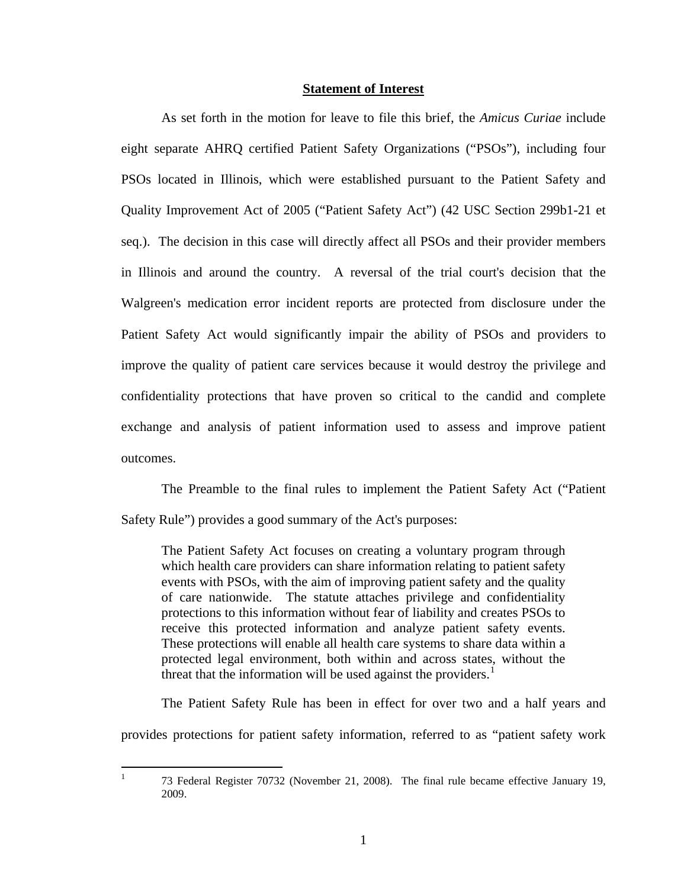#### **Statement of Interest**

As set forth in the motion for leave to file this brief, the *Amicus Curiae* include eight separate AHRQ certified Patient Safety Organizations ("PSOs"), including four PSOs located in Illinois, which were established pursuant to the Patient Safety and Quality Improvement Act of 2005 ("Patient Safety Act") (42 USC Section 299b1-21 et seq.). The decision in this case will directly affect all PSOs and their provider members in Illinois and around the country. A reversal of the trial court's decision that the Walgreen's medication error incident reports are protected from disclosure under the Patient Safety Act would significantly impair the ability of PSOs and providers to improve the quality of patient care services because it would destroy the privilege and confidentiality protections that have proven so critical to the candid and complete exchange and analysis of patient information used to assess and improve patient outcomes.

The Preamble to the final rules to implement the Patient Safety Act ("Patient Safety Rule") provides a good summary of the Act's purposes:

The Patient Safety Act focuses on creating a voluntary program through which health care providers can share information relating to patient safety events with PSOs, with the aim of improving patient safety and the quality of care nationwide. The statute attaches privilege and confidentiality protections to this information without fear of liability and creates PSOs to receive this protected information and analyze patient safety events. These protections will enable all health care systems to share data within a protected legal environment, both within and across states, without the threat that the information will be used against the providers.<sup>[1](#page-3-0)</sup>

The Patient Safety Rule has been in effect for over two and a half years and

provides protections for patient safety information, referred to as "patient safety work

<span id="page-3-0"></span> $\frac{1}{1}$ 

 <sup>73</sup> Federal Register 70732 (November 21, 2008). The final rule became effective January 19, 2009.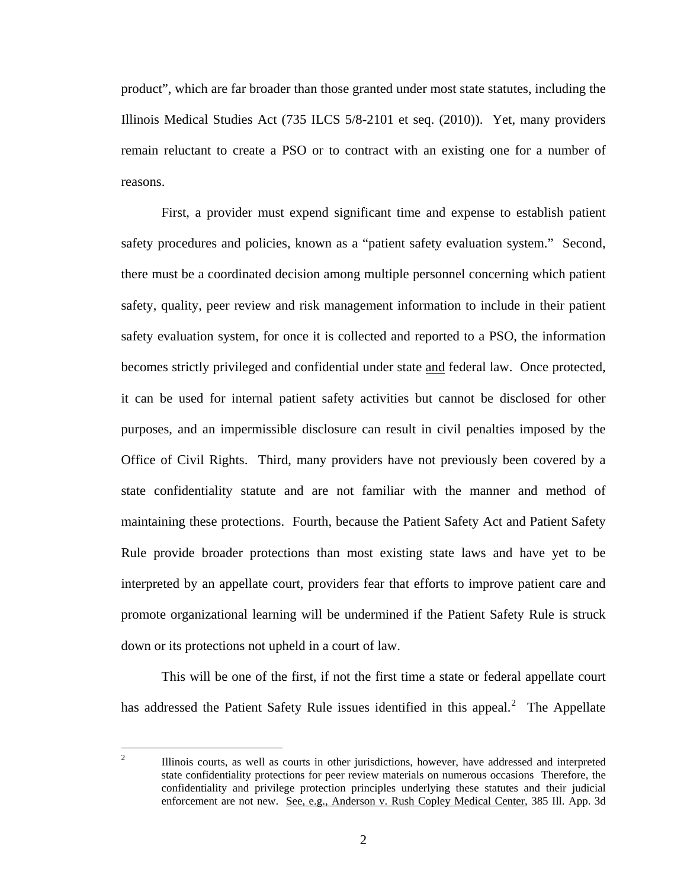product", which are far broader than those granted under most state statutes, including the Illinois Medical Studies Act (735 ILCS 5/8-2101 et seq. (2010)). Yet, many providers remain reluctant to create a PSO or to contract with an existing one for a number of reasons.

First, a provider must expend significant time and expense to establish patient safety procedures and policies, known as a "patient safety evaluation system." Second, there must be a coordinated decision among multiple personnel concerning which patient safety, quality, peer review and risk management information to include in their patient safety evaluation system, for once it is collected and reported to a PSO, the information becomes strictly privileged and confidential under state and federal law. Once protected, it can be used for internal patient safety activities but cannot be disclosed for other purposes, and an impermissible disclosure can result in civil penalties imposed by the Office of Civil Rights. Third, many providers have not previously been covered by a state confidentiality statute and are not familiar with the manner and method of maintaining these protections. Fourth, because the Patient Safety Act and Patient Safety Rule provide broader protections than most existing state laws and have yet to be interpreted by an appellate court, providers fear that efforts to improve patient care and promote organizational learning will be undermined if the Patient Safety Rule is struck down or its protections not upheld in a court of law.

This will be one of the first, if not the first time a state or federal appellate court has addressed the Patient Safety Rule issues identified in this appeal. $^2$  $^2$  The Appellate

<span id="page-4-0"></span> $\frac{1}{2}$  Illinois courts, as well as courts in other jurisdictions, however, have addressed and interpreted state confidentiality protections for peer review materials on numerous occasions Therefore, the confidentiality and privilege protection principles underlying these statutes and their judicial enforcement are not new. See, e.g., Anderson v. Rush Copley Medical Center, 385 Ill. App. 3d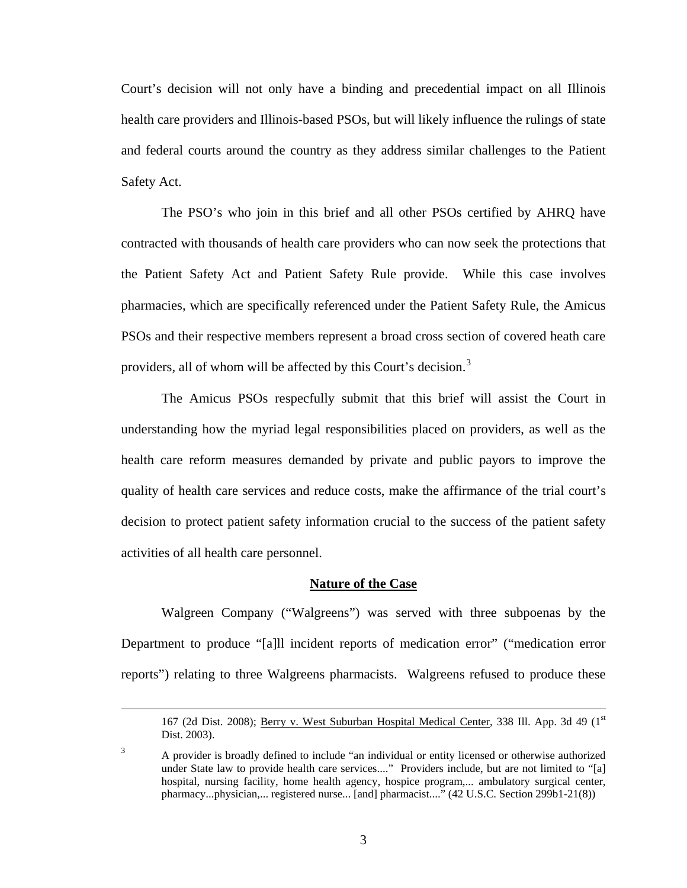Court's decision will not only have a binding and precedential impact on all Illinois health care providers and Illinois-based PSOs, but will likely influence the rulings of state and federal courts around the country as they address similar challenges to the Patient Safety Act.

The PSO's who join in this brief and all other PSOs certified by AHRQ have contracted with thousands of health care providers who can now seek the protections that the Patient Safety Act and Patient Safety Rule provide. While this case involves pharmacies, which are specifically referenced under the Patient Safety Rule, the Amicus PSOs and their respective members represent a broad cross section of covered heath care providers, all of whom will be affected by this Court's decision.<sup>[3](#page-5-0)</sup>

The Amicus PSOs respecfully submit that this brief will assist the Court in understanding how the myriad legal responsibilities placed on providers, as well as the health care reform measures demanded by private and public payors to improve the quality of health care services and reduce costs, make the affirmance of the trial court's decision to protect patient safety information crucial to the success of the patient safety activities of all health care personnel.

#### **Nature of the Case**

Walgreen Company ("Walgreens") was served with three subpoenas by the Department to produce "[a]ll incident reports of medication error" ("medication error reports") relating to three Walgreens pharmacists. Walgreens refused to produce these

<sup>167 (2</sup>d Dist. 2008); Berry v. West Suburban Hospital Medical Center, 338 Ill. App. 3d 49 (1st Dist. 2003).

<span id="page-5-0"></span><sup>3</sup> A provider is broadly defined to include "an individual or entity licensed or otherwise authorized under State law to provide health care services...." Providers include, but are not limited to "[a] hospital, nursing facility, home health agency, hospice program,... ambulatory surgical center, pharmacy...physician,... registered nurse... [and] pharmacist...." (42 U.S.C. Section 299b1-21(8))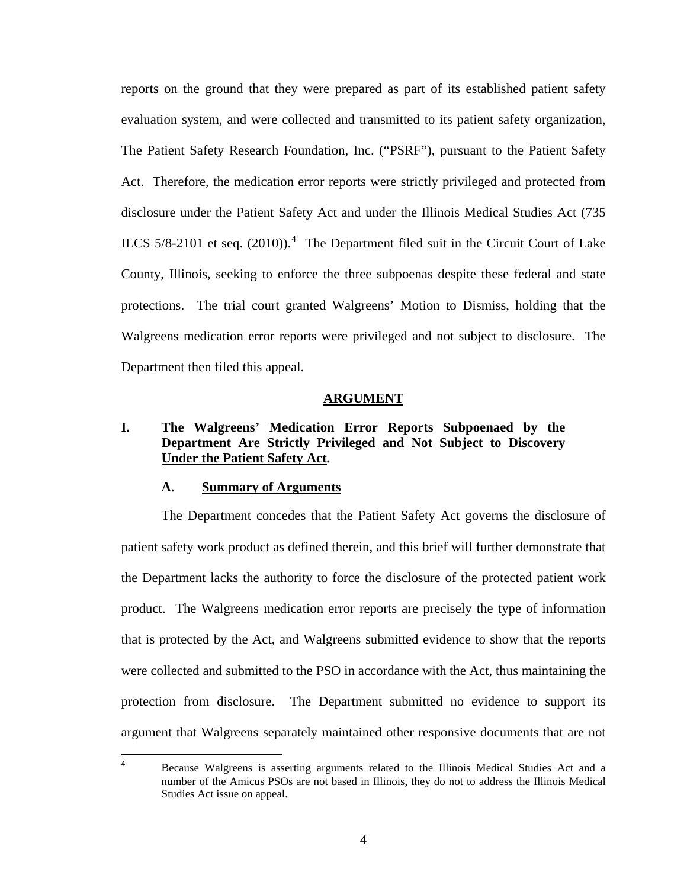<span id="page-6-0"></span>reports on the ground that they were prepared as part of its established patient safety evaluation system, and were collected and transmitted to its patient safety organization, The Patient Safety Research Foundation, Inc. ("PSRF"), pursuant to the Patient Safety Act. Therefore, the medication error reports were strictly privileged and protected from disclosure under the Patient Safety Act and under the Illinois Medical Studies Act (735 ILCS  $5/8-2101$  et seq.  $(2010)$ .<sup>[4](#page-6-1)</sup> The Department filed suit in the Circuit Court of Lake County, Illinois, seeking to enforce the three subpoenas despite these federal and state protections. The trial court granted Walgreens' Motion to Dismiss, holding that the Walgreens medication error reports were privileged and not subject to disclosure. The Department then filed this appeal.

#### **ARGUMENT**

# **I. The Walgreens' Medication Error Reports Subpoenaed by the Department Are Strictly Privileged and Not Subject to Discovery Under the Patient Safety Act.**

### **A. Summary of Arguments**

The Department concedes that the Patient Safety Act governs the disclosure of patient safety work product as defined therein, and this brief will further demonstrate that the Department lacks the authority to force the disclosure of the protected patient work product. The Walgreens medication error reports are precisely the type of information that is protected by the Act, and Walgreens submitted evidence to show that the reports were collected and submitted to the PSO in accordance with the Act, thus maintaining the protection from disclosure. The Department submitted no evidence to support its argument that Walgreens separately maintained other responsive documents that are not

<span id="page-6-1"></span> $\frac{1}{4}$  Because Walgreens is asserting arguments related to the Illinois Medical Studies Act and a number of the Amicus PSOs are not based in Illinois, they do not to address the Illinois Medical Studies Act issue on appeal.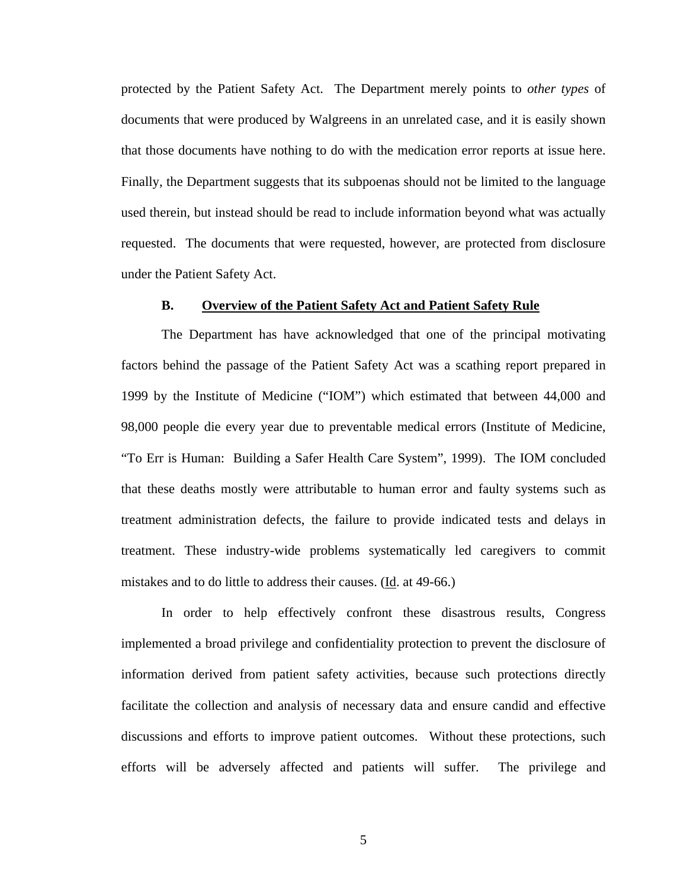<span id="page-7-0"></span>protected by the Patient Safety Act. The Department merely points to *other types* of documents that were produced by Walgreens in an unrelated case, and it is easily shown that those documents have nothing to do with the medication error reports at issue here. Finally, the Department suggests that its subpoenas should not be limited to the language used therein, but instead should be read to include information beyond what was actually requested. The documents that were requested, however, are protected from disclosure under the Patient Safety Act.

### **B. Overview of the Patient Safety Act and Patient Safety Rule**

The Department has have acknowledged that one of the principal motivating factors behind the passage of the Patient Safety Act was a scathing report prepared in 1999 by the Institute of Medicine ("IOM") which estimated that between 44,000 and 98,000 people die every year due to preventable medical errors (Institute of Medicine, "To Err is Human: Building a Safer Health Care System", 1999). The IOM concluded that these deaths mostly were attributable to human error and faulty systems such as treatment administration defects, the failure to provide indicated tests and delays in treatment. These industry-wide problems systematically led caregivers to commit mistakes and to do little to address their causes. (Id. at 49-66.)

In order to help effectively confront these disastrous results, Congress implemented a broad privilege and confidentiality protection to prevent the disclosure of information derived from patient safety activities, because such protections directly facilitate the collection and analysis of necessary data and ensure candid and effective discussions and efforts to improve patient outcomes. Without these protections, such efforts will be adversely affected and patients will suffer. The privilege and

5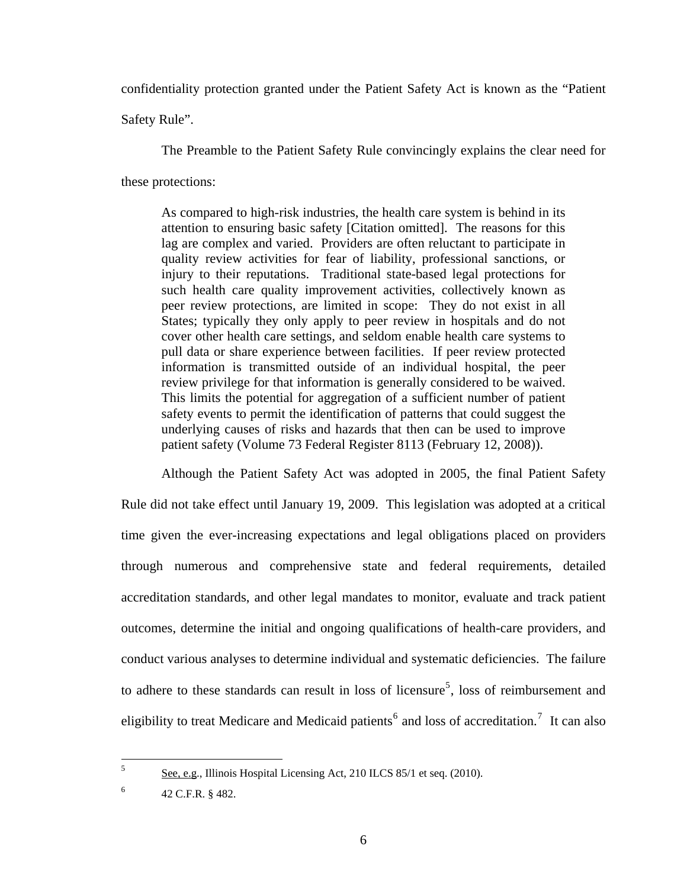confidentiality protection granted under the Patient Safety Act is known as the "Patient

Safety Rule".

The Preamble to the Patient Safety Rule convincingly explains the clear need for

these protections:

As compared to high-risk industries, the health care system is behind in its attention to ensuring basic safety [Citation omitted]. The reasons for this lag are complex and varied. Providers are often reluctant to participate in quality review activities for fear of liability, professional sanctions, or injury to their reputations. Traditional state-based legal protections for such health care quality improvement activities, collectively known as peer review protections, are limited in scope: They do not exist in all States; typically they only apply to peer review in hospitals and do not cover other health care settings, and seldom enable health care systems to pull data or share experience between facilities. If peer review protected information is transmitted outside of an individual hospital, the peer review privilege for that information is generally considered to be waived. This limits the potential for aggregation of a sufficient number of patient safety events to permit the identification of patterns that could suggest the underlying causes of risks and hazards that then can be used to improve patient safety (Volume 73 Federal Register 8113 (February 12, 2008)).

Although the Patient Safety Act was adopted in 2005, the final Patient Safety Rule did not take effect until January 19, 2009. This legislation was adopted at a critical time given the ever-increasing expectations and legal obligations placed on providers through numerous and comprehensive state and federal requirements, detailed accreditation standards, and other legal mandates to monitor, evaluate and track patient outcomes, determine the initial and ongoing qualifications of health-care providers, and conduct various analyses to determine individual and systematic deficiencies. The failure to adhere to these standards can result in loss of licensure<sup>[5](#page-8-0)</sup>, loss of reimbursement and eligibility to treat Medicare and Medicaid patients<sup>[6](#page-8-1)</sup> and loss of accreditation.<sup>[7](#page-8-2)</sup> It can also

<span id="page-8-1"></span>6 42 C.F.R. § 482.

<span id="page-8-2"></span><span id="page-8-0"></span> $5^{\circ}$ <sup>5</sup> See, e.g., Illinois Hospital Licensing Act, 210 ILCS 85/1 et seq. (2010).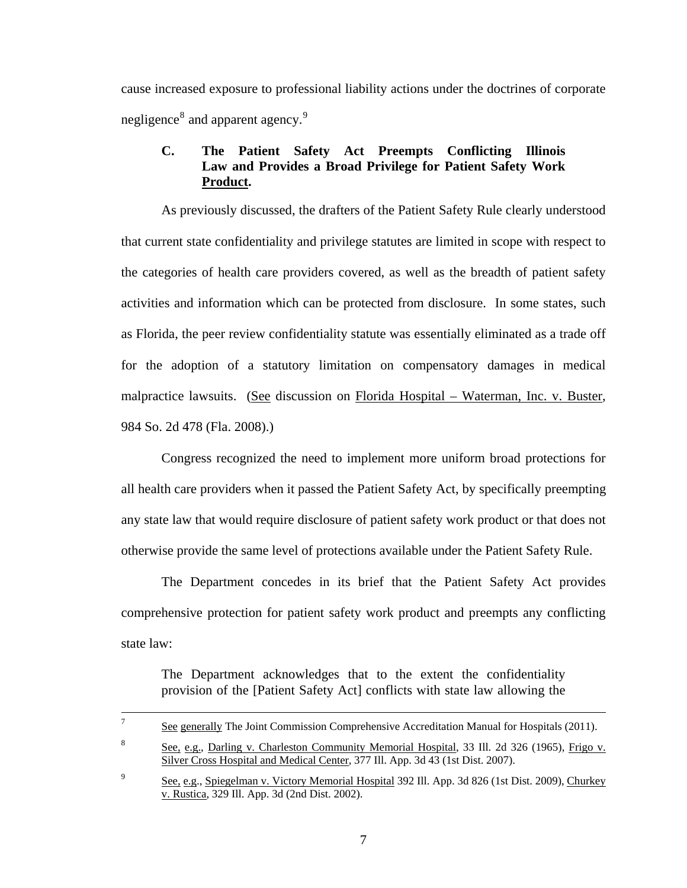<span id="page-9-0"></span>cause increased exposure to professional liability actions under the doctrines of corporate negligence<sup>[8](#page-9-1)</sup> and apparent agency.<sup>[9](#page-9-2)</sup>

# **C. The Patient Safety Act Preempts Conflicting Illinois Law and Provides a Broad Privilege for Patient Safety Work Product.**

As previously discussed, the drafters of the Patient Safety Rule clearly understood that current state confidentiality and privilege statutes are limited in scope with respect to the categories of health care providers covered, as well as the breadth of patient safety activities and information which can be protected from disclosure. In some states, such as Florida, the peer review confidentiality statute was essentially eliminated as a trade off for the adoption of a statutory limitation on compensatory damages in medical malpractice lawsuits. (See discussion on Florida Hospital – Waterman, Inc. v. Buster, 984 So. 2d 478 (Fla. 2008).)

Congress recognized the need to implement more uniform broad protections for all health care providers when it passed the Patient Safety Act, by specifically preempting any state law that would require disclosure of patient safety work product or that does not otherwise provide the same level of protections available under the Patient Safety Rule.

The Department concedes in its brief that the Patient Safety Act provides comprehensive protection for patient safety work product and preempts any conflicting state law:

The Department acknowledges that to the extent the confidentiality provision of the [Patient Safety Act] conflicts with state law allowing the

<span id="page-9-1"></span>

|   | See generally The Joint Commission Comprehensive Accreditation Manual for Hospitals (2011).   |
|---|-----------------------------------------------------------------------------------------------|
| 8 | See, e.g., Darling v. Charleston Community Memorial Hospital, 33 Ill. 2d 326 (1965), Frigo v. |
|   | Silver Cross Hospital and Medical Center, 377 Ill. App. 3d 43 (1st Dist. 2007).               |
|   | $\sim$ $\sim$ $\sim$ $\sim$ $\sim$ $\sim$ $\sim$                                              |

<span id="page-9-2"></span>See, e.g., Spiegelman v. Victory Memorial Hospital 392 Ill. App. 3d 826 (1st Dist. 2009), Churkey v. Rustica, 329 Ill. App. 3d (2nd Dist. 2002).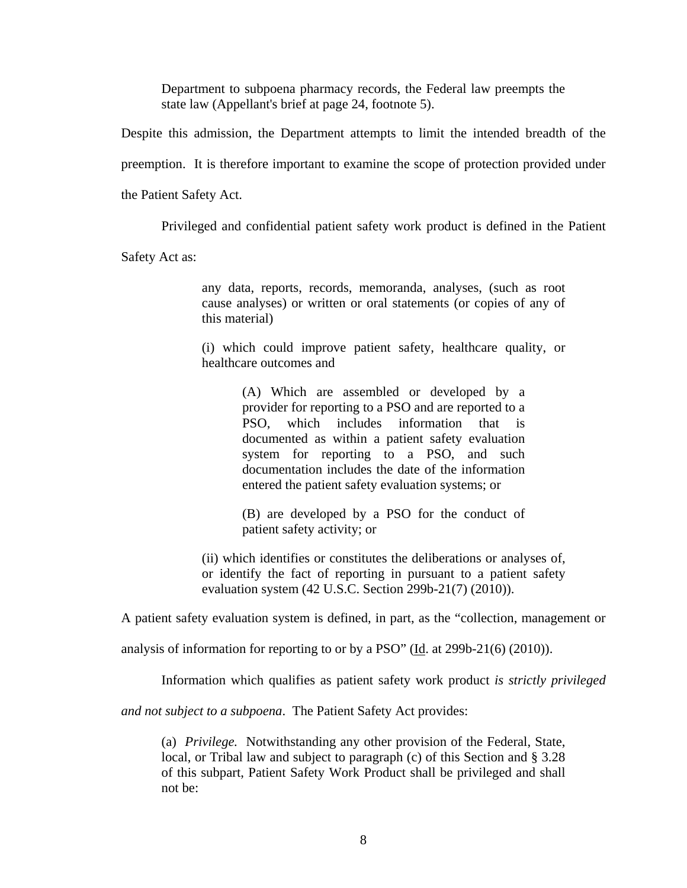Department to subpoena pharmacy records, the Federal law preempts the state law (Appellant's brief at page 24, footnote 5).

Despite this admission, the Department attempts to limit the intended breadth of the

preemption. It is therefore important to examine the scope of protection provided under

the Patient Safety Act.

Privileged and confidential patient safety work product is defined in the Patient

Safety Act as:

any data, reports, records, memoranda, analyses, (such as root cause analyses) or written or oral statements (or copies of any of this material)

(i) which could improve patient safety, healthcare quality, or healthcare outcomes and

> (A) Which are assembled or developed by a provider for reporting to a PSO and are reported to a PSO, which includes information that is documented as within a patient safety evaluation system for reporting to a PSO, and such documentation includes the date of the information entered the patient safety evaluation systems; or

> (B) are developed by a PSO for the conduct of patient safety activity; or

(ii) which identifies or constitutes the deliberations or analyses of, or identify the fact of reporting in pursuant to a patient safety evaluation system (42 U.S.C. Section 299b-21(7) (2010)).

A patient safety evaluation system is defined, in part, as the "collection, management or

analysis of information for reporting to or by a PSO" ( $\underline{Id}$ . at 299b-21(6) (2010)).

Information which qualifies as patient safety work product *is strictly privileged*

*and not subject to a subpoena*. The Patient Safety Act provides:

(a) *Privilege.* Notwithstanding any other provision of the Federal, State, local, or Tribal law and subject to paragraph (c) of this Section and § 3.28 of this subpart, Patient Safety Work Product shall be privileged and shall not be: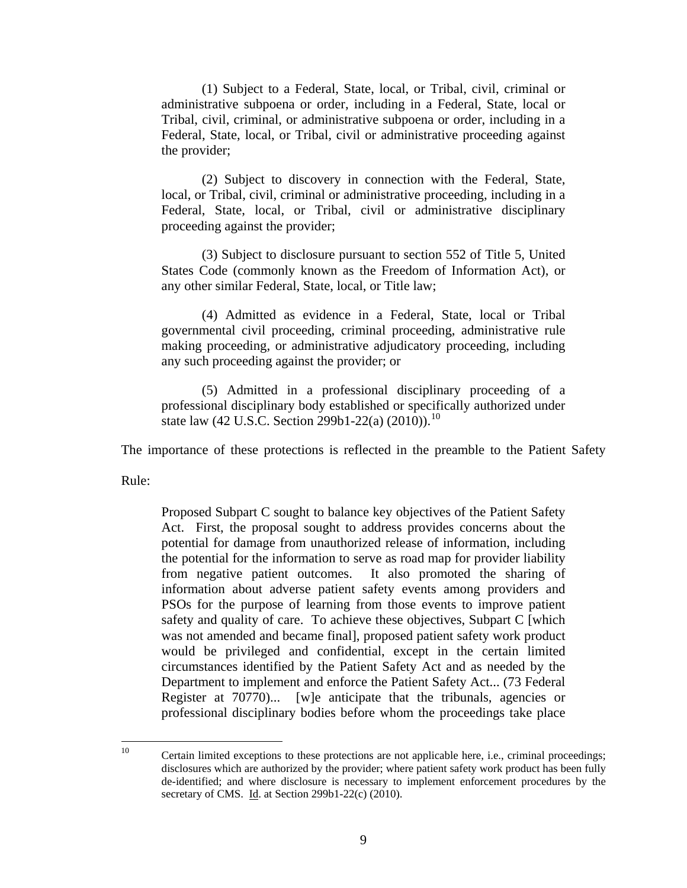(1) Subject to a Federal, State, local, or Tribal, civil, criminal or administrative subpoena or order, including in a Federal, State, local or Tribal, civil, criminal, or administrative subpoena or order, including in a Federal, State, local, or Tribal, civil or administrative proceeding against the provider;

(2) Subject to discovery in connection with the Federal, State, local, or Tribal, civil, criminal or administrative proceeding, including in a Federal, State, local, or Tribal, civil or administrative disciplinary proceeding against the provider;

(3) Subject to disclosure pursuant to section 552 of Title 5, United States Code (commonly known as the Freedom of Information Act), or any other similar Federal, State, local, or Title law;

(4) Admitted as evidence in a Federal, State, local or Tribal governmental civil proceeding, criminal proceeding, administrative rule making proceeding, or administrative adjudicatory proceeding, including any such proceeding against the provider; or

(5) Admitted in a professional disciplinary proceeding of a professional disciplinary body established or specifically authorized under state law (42 U.S.C. Section 299b1-22(a) (20[10](#page-11-0))).<sup>10</sup>

The importance of these protections is reflected in the preamble to the Patient Safety

Rule:

Proposed Subpart C sought to balance key objectives of the Patient Safety Act. First, the proposal sought to address provides concerns about the potential for damage from unauthorized release of information, including the potential for the information to serve as road map for provider liability from negative patient outcomes. It also promoted the sharing of information about adverse patient safety events among providers and PSOs for the purpose of learning from those events to improve patient safety and quality of care. To achieve these objectives, Subpart C [which was not amended and became final], proposed patient safety work product would be privileged and confidential, except in the certain limited circumstances identified by the Patient Safety Act and as needed by the Department to implement and enforce the Patient Safety Act... (73 Federal Register at 70770)... [w]e anticipate that the tribunals, agencies or professional disciplinary bodies before whom the proceedings take place

<span id="page-11-0"></span><sup>10</sup> Certain limited exceptions to these protections are not applicable here, i.e., criminal proceedings; disclosures which are authorized by the provider; where patient safety work product has been fully de-identified; and where disclosure is necessary to implement enforcement procedures by the secretary of CMS. Id. at Section 299b1-22(c) (2010).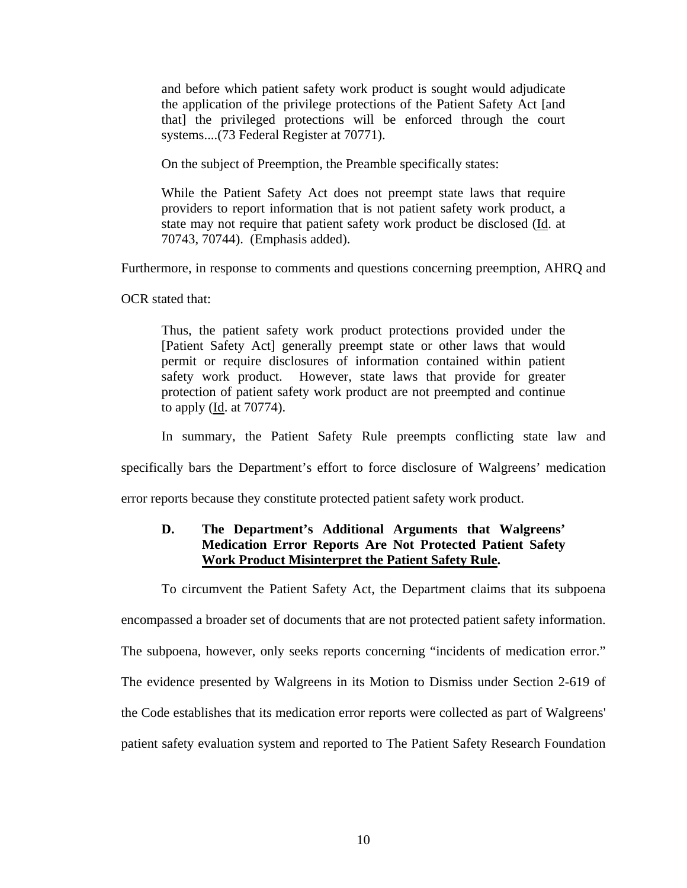<span id="page-12-0"></span>and before which patient safety work product is sought would adjudicate the application of the privilege protections of the Patient Safety Act [and that] the privileged protections will be enforced through the court systems....(73 Federal Register at 70771).

On the subject of Preemption, the Preamble specifically states:

While the Patient Safety Act does not preempt state laws that require providers to report information that is not patient safety work product, a state may not require that patient safety work product be disclosed (Id. at 70743, 70744). (Emphasis added).

Furthermore, in response to comments and questions concerning preemption, AHRQ and

OCR stated that:

Thus, the patient safety work product protections provided under the [Patient Safety Act] generally preempt state or other laws that would permit or require disclosures of information contained within patient safety work product. However, state laws that provide for greater protection of patient safety work product are not preempted and continue to apply (Id. at 70774).

In summary, the Patient Safety Rule preempts conflicting state law and

specifically bars the Department's effort to force disclosure of Walgreens' medication

error reports because they constitute protected patient safety work product.

### **D. The Department's Additional Arguments that Walgreens' Medication Error Reports Are Not Protected Patient Safety Work Product Misinterpret the Patient Safety Rule.**

To circumvent the Patient Safety Act, the Department claims that its subpoena

encompassed a broader set of documents that are not protected patient safety information.

The subpoena, however, only seeks reports concerning "incidents of medication error."

The evidence presented by Walgreens in its Motion to Dismiss under Section 2-619 of

the Code establishes that its medication error reports were collected as part of Walgreens'

patient safety evaluation system and reported to The Patient Safety Research Foundation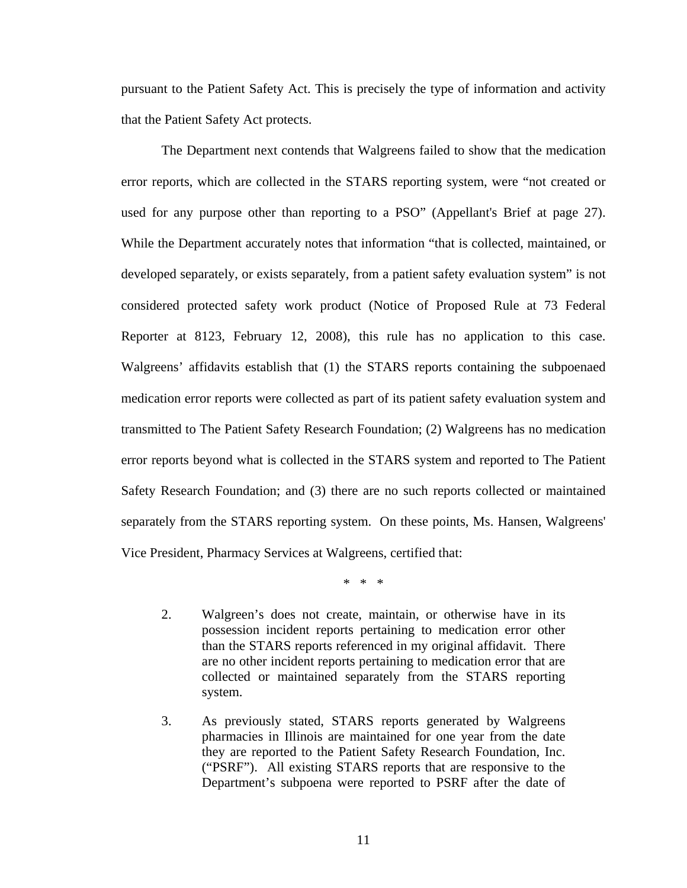pursuant to the Patient Safety Act. This is precisely the type of information and activity that the Patient Safety Act protects.

The Department next contends that Walgreens failed to show that the medication error reports, which are collected in the STARS reporting system, were "not created or used for any purpose other than reporting to a PSO" (Appellant's Brief at page 27). While the Department accurately notes that information "that is collected, maintained, or developed separately, or exists separately, from a patient safety evaluation system" is not considered protected safety work product (Notice of Proposed Rule at 73 Federal Reporter at 8123, February 12, 2008), this rule has no application to this case. Walgreens' affidavits establish that (1) the STARS reports containing the subpoenaed medication error reports were collected as part of its patient safety evaluation system and transmitted to The Patient Safety Research Foundation; (2) Walgreens has no medication error reports beyond what is collected in the STARS system and reported to The Patient Safety Research Foundation; and (3) there are no such reports collected or maintained separately from the STARS reporting system. On these points, Ms. Hansen, Walgreens' Vice President, Pharmacy Services at Walgreens, certified that:

\* \* \*

- 2. Walgreen's does not create, maintain, or otherwise have in its possession incident reports pertaining to medication error other than the STARS reports referenced in my original affidavit. There are no other incident reports pertaining to medication error that are collected or maintained separately from the STARS reporting system.
- 3. As previously stated, STARS reports generated by Walgreens pharmacies in Illinois are maintained for one year from the date they are reported to the Patient Safety Research Foundation, Inc. ("PSRF"). All existing STARS reports that are responsive to the Department's subpoena were reported to PSRF after the date of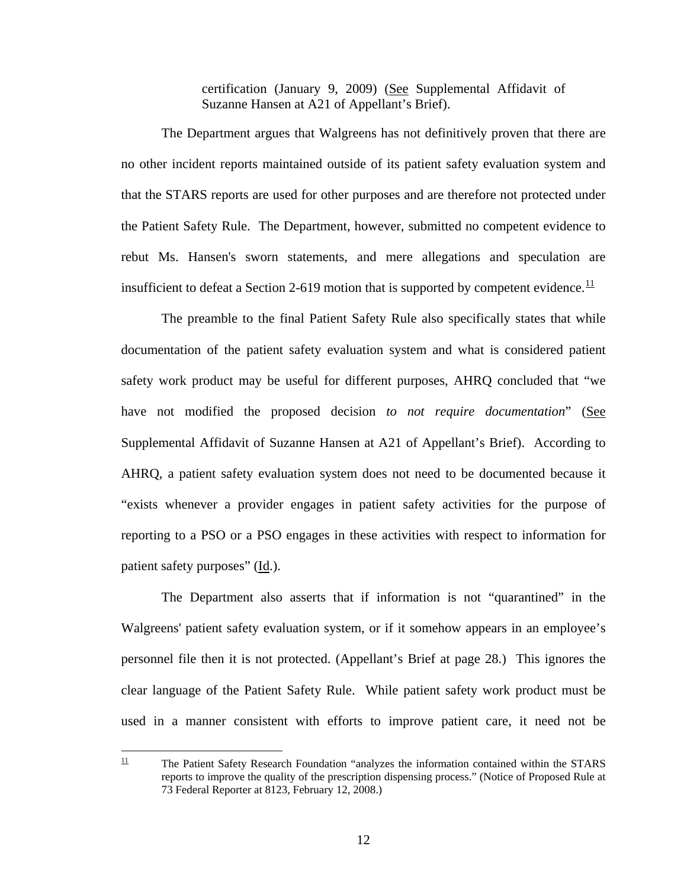certification (January 9, 2009) (See Supplemental Affidavit of Suzanne Hansen at A21 of Appellant's Brief).

The Department argues that Walgreens has not definitively proven that there are no other incident reports maintained outside of its patient safety evaluation system and that the STARS reports are used for other purposes and are therefore not protected under the Patient Safety Rule. The Department, however, submitted no competent evidence to rebut Ms. Hansen's sworn statements, and mere allegations and speculation are insufficient to defeat a Section 2-619 motion that is supported by competent evidence.  $\frac{11}{1}$  $\frac{11}{1}$  $\frac{11}{1}$ 

The preamble to the final Patient Safety Rule also specifically states that while documentation of the patient safety evaluation system and what is considered patient safety work product may be useful for different purposes, AHRQ concluded that "we have not modified the proposed decision *to not require documentation*" (See Supplemental Affidavit of Suzanne Hansen at A21 of Appellant's Brief). According to AHRQ, a patient safety evaluation system does not need to be documented because it "exists whenever a provider engages in patient safety activities for the purpose of reporting to a PSO or a PSO engages in these activities with respect to information for patient safety purposes" (Id.).

The Department also asserts that if information is not "quarantined" in the Walgreens' patient safety evaluation system, or if it somehow appears in an employee's personnel file then it is not protected. (Appellant's Brief at page 28.) This ignores the clear language of the Patient Safety Rule. While patient safety work product must be used in a manner consistent with efforts to improve patient care, it need not be

<span id="page-14-0"></span> $11\,$ 11 The Patient Safety Research Foundation "analyzes the information contained within the STARS reports to improve the quality of the prescription dispensing process." (Notice of Proposed Rule at 73 Federal Reporter at 8123, February 12, 2008.)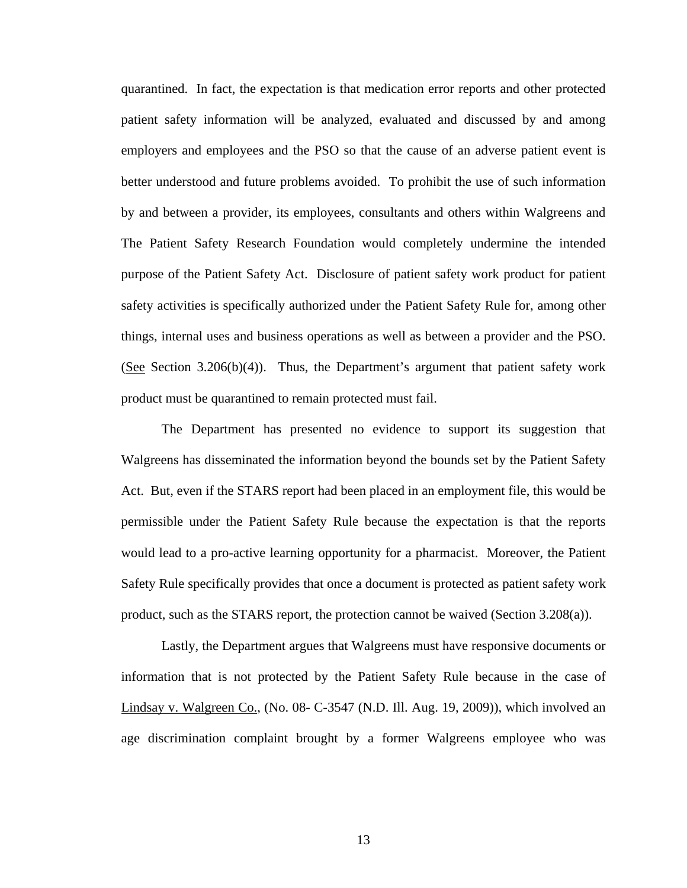quarantined. In fact, the expectation is that medication error reports and other protected patient safety information will be analyzed, evaluated and discussed by and among employers and employees and the PSO so that the cause of an adverse patient event is better understood and future problems avoided. To prohibit the use of such information by and between a provider, its employees, consultants and others within Walgreens and The Patient Safety Research Foundation would completely undermine the intended purpose of the Patient Safety Act. Disclosure of patient safety work product for patient safety activities is specifically authorized under the Patient Safety Rule for, among other things, internal uses and business operations as well as between a provider and the PSO. (See Section 3.206(b)(4)). Thus, the Department's argument that patient safety work product must be quarantined to remain protected must fail.

The Department has presented no evidence to support its suggestion that Walgreens has disseminated the information beyond the bounds set by the Patient Safety Act. But, even if the STARS report had been placed in an employment file, this would be permissible under the Patient Safety Rule because the expectation is that the reports would lead to a pro-active learning opportunity for a pharmacist. Moreover, the Patient Safety Rule specifically provides that once a document is protected as patient safety work product, such as the STARS report, the protection cannot be waived (Section 3.208(a)).

Lastly, the Department argues that Walgreens must have responsive documents or information that is not protected by the Patient Safety Rule because in the case of Lindsay v. Walgreen Co., (No. 08- C-3547 (N.D. Ill. Aug. 19, 2009)), which involved an age discrimination complaint brought by a former Walgreens employee who was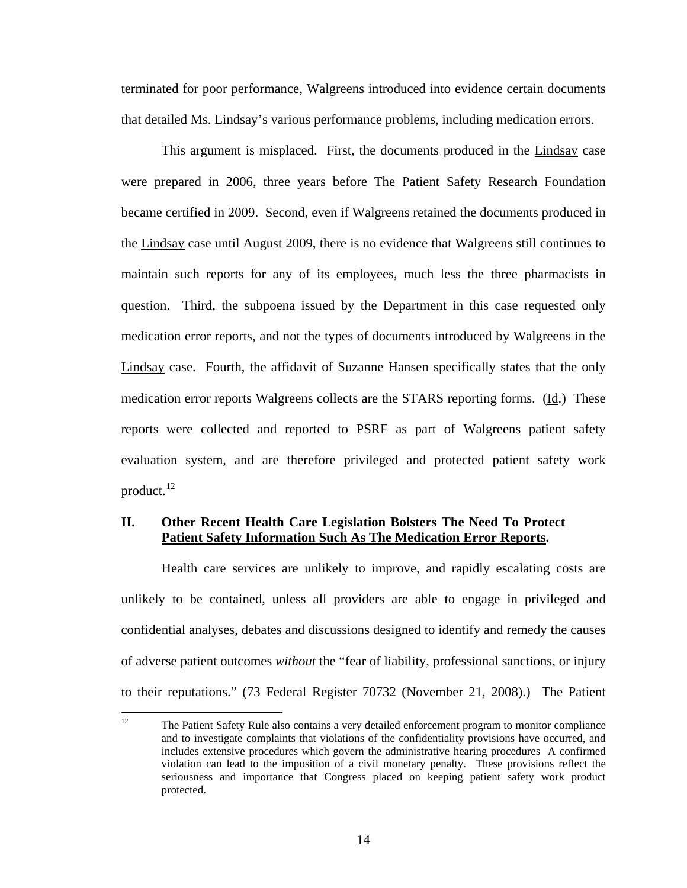<span id="page-16-0"></span>terminated for poor performance, Walgreens introduced into evidence certain documents that detailed Ms. Lindsay's various performance problems, including medication errors.

This argument is misplaced. First, the documents produced in the Lindsay case were prepared in 2006, three years before The Patient Safety Research Foundation became certified in 2009. Second, even if Walgreens retained the documents produced in the Lindsay case until August 2009, there is no evidence that Walgreens still continues to maintain such reports for any of its employees, much less the three pharmacists in question. Third, the subpoena issued by the Department in this case requested only medication error reports, and not the types of documents introduced by Walgreens in the Lindsay case. Fourth, the affidavit of Suzanne Hansen specifically states that the only medication error reports Walgreens collects are the STARS reporting forms. (Id.) These reports were collected and reported to PSRF as part of Walgreens patient safety evaluation system, and are therefore privileged and protected patient safety work product. $^{12}$  $^{12}$  $^{12}$ 

### **II. Other Recent Health Care Legislation Bolsters The Need To Protect Patient Safety Information Such As The Medication Error Reports.**

Health care services are unlikely to improve, and rapidly escalating costs are unlikely to be contained, unless all providers are able to engage in privileged and confidential analyses, debates and discussions designed to identify and remedy the causes of adverse patient outcomes *without* the "fear of liability, professional sanctions, or injury to their reputations." (73 Federal Register 70732 (November 21, 2008).) The Patient

<span id="page-16-1"></span> $12$ 12 The Patient Safety Rule also contains a very detailed enforcement program to monitor compliance and to investigate complaints that violations of the confidentiality provisions have occurred, and includes extensive procedures which govern the administrative hearing procedures A confirmed violation can lead to the imposition of a civil monetary penalty. These provisions reflect the seriousness and importance that Congress placed on keeping patient safety work product protected.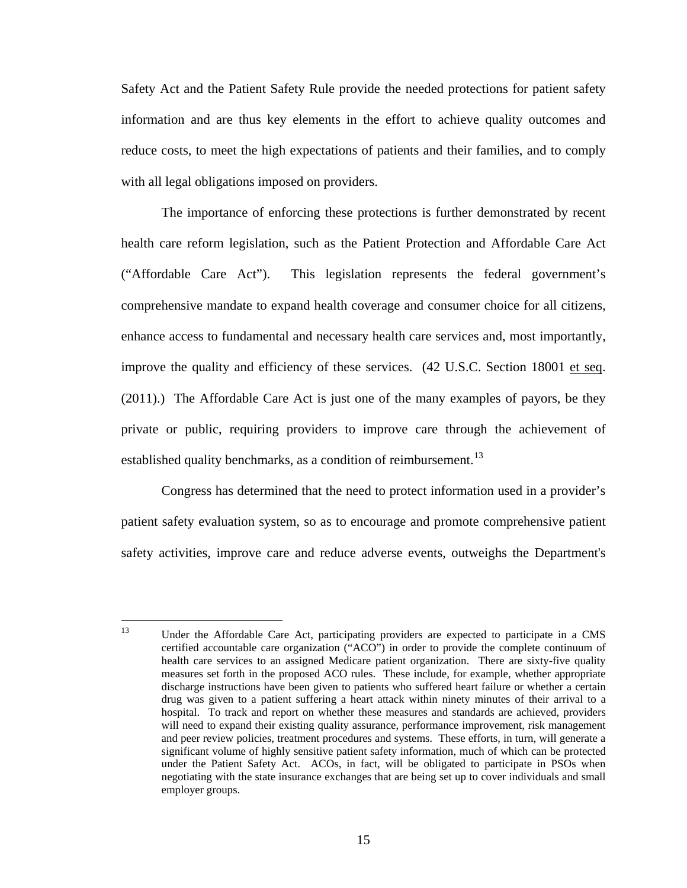Safety Act and the Patient Safety Rule provide the needed protections for patient safety information and are thus key elements in the effort to achieve quality outcomes and reduce costs, to meet the high expectations of patients and their families, and to comply with all legal obligations imposed on providers.

The importance of enforcing these protections is further demonstrated by recent health care reform legislation, such as the Patient Protection and Affordable Care Act ("Affordable Care Act"). This legislation represents the federal government's comprehensive mandate to expand health coverage and consumer choice for all citizens, enhance access to fundamental and necessary health care services and, most importantly, improve the quality and efficiency of these services. (42 U.S.C. Section 18001 et seq. (2011).) The Affordable Care Act is just one of the many examples of payors, be they private or public, requiring providers to improve care through the achievement of established quality benchmarks, as a condition of reimbursement.<sup>[13](#page-17-0)</sup>

Congress has determined that the need to protect information used in a provider's patient safety evaluation system, so as to encourage and promote comprehensive patient safety activities, improve care and reduce adverse events, outweighs the Department's

<span id="page-17-0"></span><sup>13</sup> Under the Affordable Care Act, participating providers are expected to participate in a CMS certified accountable care organization ("ACO") in order to provide the complete continuum of health care services to an assigned Medicare patient organization. There are sixty-five quality measures set forth in the proposed ACO rules. These include, for example, whether appropriate discharge instructions have been given to patients who suffered heart failure or whether a certain drug was given to a patient suffering a heart attack within ninety minutes of their arrival to a hospital. To track and report on whether these measures and standards are achieved, providers will need to expand their existing quality assurance, performance improvement, risk management and peer review policies, treatment procedures and systems. These efforts, in turn, will generate a significant volume of highly sensitive patient safety information, much of which can be protected under the Patient Safety Act. ACOs, in fact, will be obligated to participate in PSOs when negotiating with the state insurance exchanges that are being set up to cover individuals and small employer groups.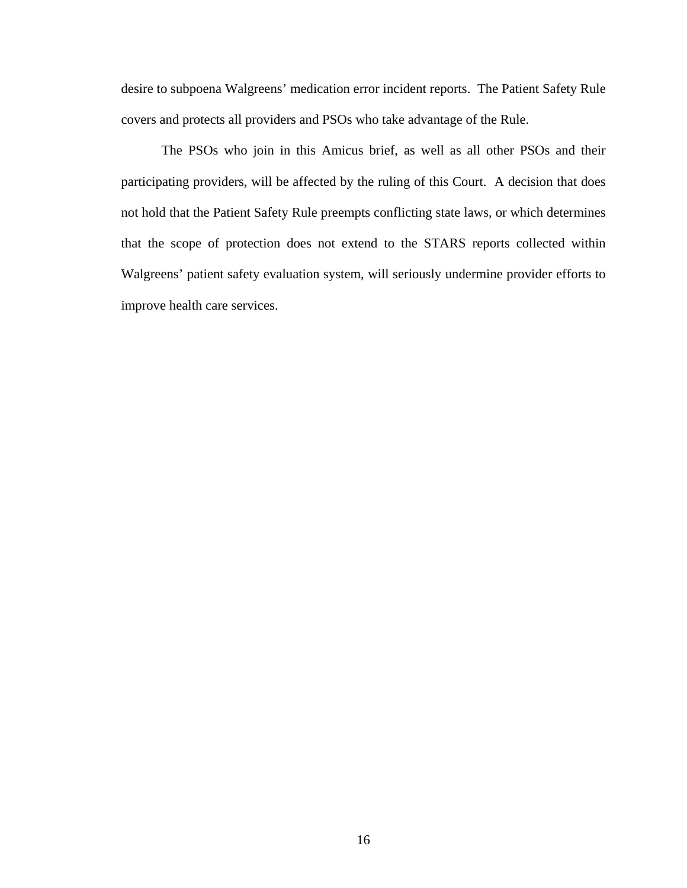desire to subpoena Walgreens' medication error incident reports. The Patient Safety Rule covers and protects all providers and PSOs who take advantage of the Rule.

The PSOs who join in this Amicus brief, as well as all other PSOs and their participating providers, will be affected by the ruling of this Court. A decision that does not hold that the Patient Safety Rule preempts conflicting state laws, or which determines that the scope of protection does not extend to the STARS reports collected within Walgreens' patient safety evaluation system, will seriously undermine provider efforts to improve health care services.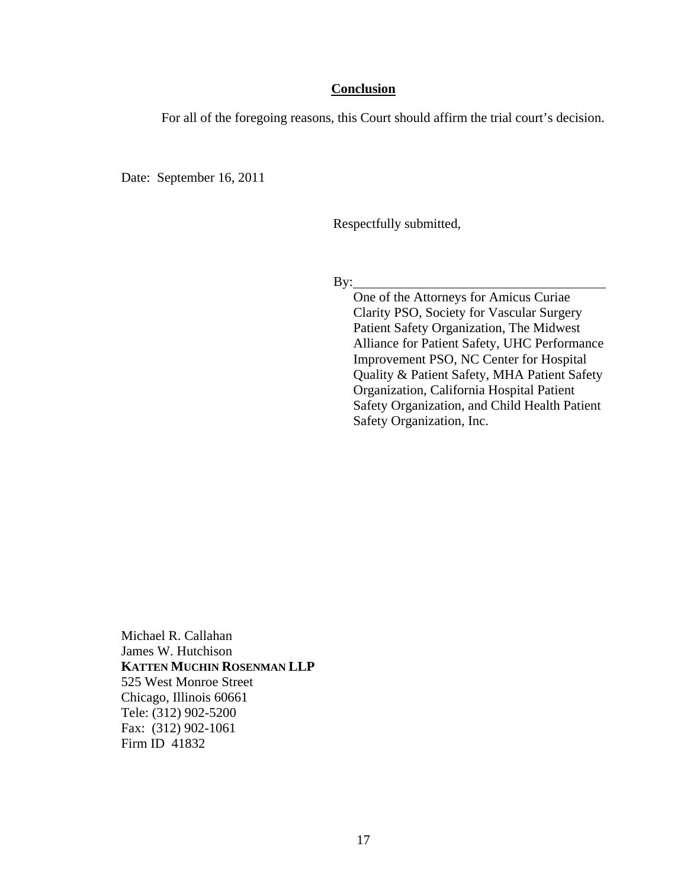### **Conclusion**

For all of the foregoing reasons, this Court should affirm the trial court's decision.

Date: September 16, 2011

Respectfully submitted,

By:

One of the Attorneys for Amicus Curiae Clarity PSO, Society for Vascular Surgery Patient Safety Organization, The Midwest Alliance for Patient Safety, UHC Performance Improvement PSO, NC Center for Hospital Quality & Patient Safety, MHA Patient Safety Organization, California Hospital Patient Safety Organization, and Child Health Patient Safety Organization, Inc.

Michael R. Callahan James W. Hutchison **KATTEN MUCHIN ROSENMAN LLP**  525 West Monroe Street Chicago, Illinois 60661 Tele: (312) 902-5200 Fax: (312) 902-1061 Firm ID 41832